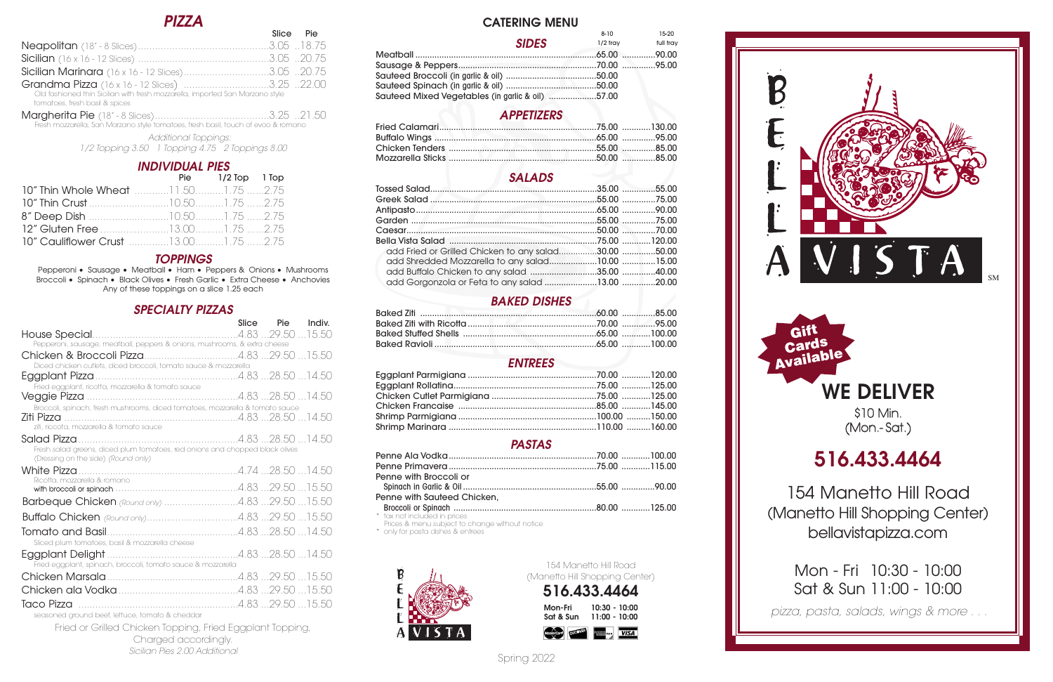## **CATERING MENU**

## *APPETIZERS*

## *SALADS*

| add Fried or Grilled Chicken to any salad30.00 50.00 |  |
|------------------------------------------------------|--|
|                                                      |  |
|                                                      |  |
|                                                      |  |

## *BAKED DISHES*

## *ENTREES*

## *PASTAS*

| Penne with Broccoli or      |  |
|-----------------------------|--|
|                             |  |
| Penne with Sauteed Chicken, |  |
|                             |  |
|                             |  |

ax not included in prices

Prices & menu subject to change without notice

\* only for pasta dishes & entrees



# **WE DELIVER**

\$10 Min. (Mon.- Sat.)

# **516.433.4464**

154 Manetto Hill Road (Manetto Hill Shopping Center) bellavistapizza.com

|                                                  |              | 8-10       | 15-20     |
|--------------------------------------------------|--------------|------------|-----------|
|                                                  | <b>SIDES</b> | $1/2$ trav | full tray |
|                                                  |              |            |           |
|                                                  |              |            |           |
|                                                  |              |            |           |
|                                                  |              |            |           |
| Sauteed Mixed Vegetables (in garlic & oil) 57.00 |              |            |           |
|                                                  |              |            |           |

Mon - Fri 10:30 - 10:00 Sat & Sun 11:00 - 10:00

154 Manetto Hill Road (Manetto Hill Shopping Center)





## *PIZZA*

Slice<sup>1</sup>

|                                                                               | JILG LIG                                                        |
|-------------------------------------------------------------------------------|-----------------------------------------------------------------|
|                                                                               |                                                                 |
|                                                                               |                                                                 |
| <b>Sicilian Marinara</b> (16 x 16 - 12 Slices)3.05 20.75                      |                                                                 |
| Grandma Pizza (16 x 16 - 12 Slices) 3.25 22.00                                |                                                                 |
| Old fashioned thin Sicilian with fresh mozzarella, imported San Marzano style |                                                                 |
| tomatoes, fresh basil & spices                                                |                                                                 |
|                                                                               | $\circ$ $\circ$ $\circ$ $\circ$ $\circ$ $\circ$ $\circ$ $\circ$ |

Margherita Pie (18" - <sup>8</sup> Slices)........................................3.25 ..21.50 Fresh mozzarella, San Marzano style tomatoes, fresh basil, touch of evoo & romano

> *Additional Toppings: 1/2 Topping 3.50 1 Topping 4.75 2 Toppings 8.00*

## *INDIVIDUAL PIES*

|                                             | Pie 1/2 Top 1 Top |  |
|---------------------------------------------|-------------------|--|
| 10" Thin Whole Wheat 11.501.75 2.75         |                   |  |
|                                             |                   |  |
|                                             |                   |  |
|                                             |                   |  |
| <b>10" Cauliflower Crust</b> 13.001.75 2.75 |                   |  |

## *TOPPINGS*

Pepperoni • Sausage • Meatball • Ham • Peppers & Onions • Mushrooms Broccoli • Spinach • Black Olives • Fresh Garlic • Extra Cheese • Anchovies Any of these toppings on a slice 1.25 each

## *SPECIALTY PIZZAS*

|                                                                                                                                         | Slice | Pie Indiv. |
|-----------------------------------------------------------------------------------------------------------------------------------------|-------|------------|
|                                                                                                                                         |       |            |
| Pepperoni, sausage, meatball, peppers & onions, mushrooms, & extra cheese                                                               |       |            |
| Diced chicken cutlets, diced broccoli, tomato sauce & mozzarella                                                                        |       |            |
|                                                                                                                                         |       |            |
| Fried eggplant, ricotta, mozzarella & tomato sauce                                                                                      |       |            |
| Broccoli, spinach, fresh mushrooms, diced tomatoes, mozzarella & tomato sauce<br>Ziti Pizza<br>ziti, riccota, mozzarella & tomato squce |       |            |
| Fresh salad greens, diced plum tomatoes, red onions and chopped black olives<br>(Dressing on the side) (Round only)                     |       |            |
|                                                                                                                                         |       |            |
| Ricotta, mozzarella & romano                                                                                                            |       |            |
| Barbeque Chicken (Round only) 4.83 29.50 15.50                                                                                          |       |            |
|                                                                                                                                         |       |            |
| Sliced plum tomatoes, basil & mozzarella cheese                                                                                         |       |            |
| Fried eggplant, spinach, broccoli, tomato sauce & mozzarella                                                                            |       |            |
|                                                                                                                                         |       |            |
|                                                                                                                                         |       |            |
|                                                                                                                                         |       |            |

seasoned ground beef, lettuce, tomato & cheddar

Fried or Grilled Chicken Topping, Fried Eggplant Topping, Charged accordingly. *Sicilian Pies 2.00 Additional* Spring <sup>2022</sup> *pizza, pasta, salads, wings & more . . .*